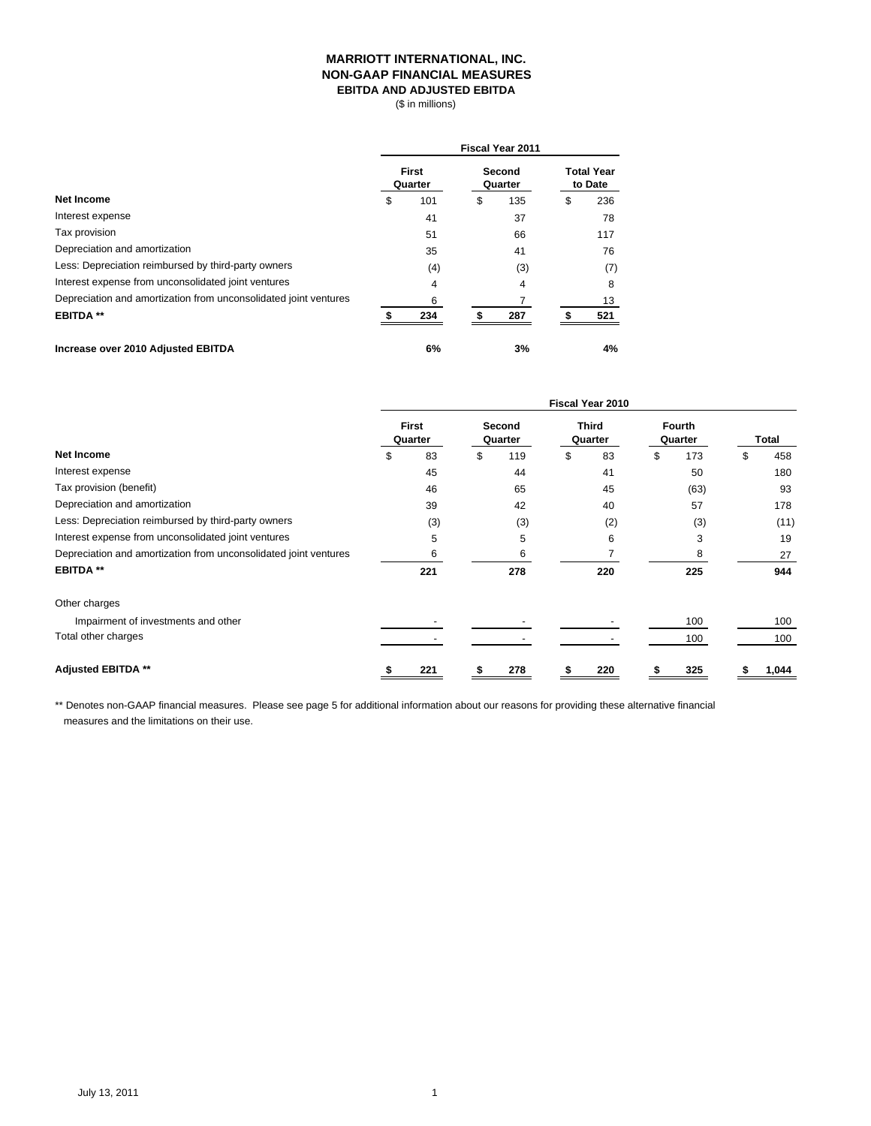#### **MARRIOTT INTERNATIONAL, INC. NON-GAAP FINANCIAL MEASURES EBITDA AND ADJUSTED EBITDA**

(\$ in millions)

|                                                                  | <b>Fiscal Year 2011</b> |     |                   |     |                              |     |  |  |  |
|------------------------------------------------------------------|-------------------------|-----|-------------------|-----|------------------------------|-----|--|--|--|
|                                                                  | <b>First</b><br>Quarter |     | Second<br>Quarter |     | <b>Total Year</b><br>to Date |     |  |  |  |
| <b>Net Income</b>                                                | \$                      | 101 | \$                | 135 | \$                           | 236 |  |  |  |
| Interest expense                                                 |                         | 41  |                   | 37  |                              | 78  |  |  |  |
| Tax provision                                                    |                         | 51  |                   | 66  |                              | 117 |  |  |  |
| Depreciation and amortization                                    |                         | 35  |                   | 41  |                              | 76  |  |  |  |
| Less: Depreciation reimbursed by third-party owners              |                         | (4) |                   | (3) |                              | (7) |  |  |  |
| Interest expense from unconsolidated joint ventures              |                         | 4   |                   | 4   |                              | 8   |  |  |  |
| Depreciation and amortization from unconsolidated joint ventures |                         | 6   |                   |     |                              | 13  |  |  |  |
| <b>EBITDA **</b>                                                 |                         | 234 |                   | 287 |                              | 521 |  |  |  |
| Increase over 2010 Adjusted EBITDA                               |                         | 6%  |                   | 3%  |                              | 4%  |  |  |  |

|                                                                  | <b>Fiscal Year 2010</b> |                         |   |                   |    |                         |   |                          |    |       |  |
|------------------------------------------------------------------|-------------------------|-------------------------|---|-------------------|----|-------------------------|---|--------------------------|----|-------|--|
|                                                                  |                         | <b>First</b><br>Quarter |   | Second<br>Quarter |    | <b>Third</b><br>Quarter |   | <b>Fourth</b><br>Quarter |    | Total |  |
| Net Income                                                       | S                       | 83                      | S | 119               | \$ | 83                      | S | 173                      | \$ | 458   |  |
| Interest expense                                                 |                         | 45                      |   | 44                |    | 41                      |   | 50                       |    | 180   |  |
| Tax provision (benefit)                                          |                         | 46                      |   | 65                |    | 45                      |   | (63)                     |    | 93    |  |
| Depreciation and amortization                                    |                         | 39                      |   | 42                |    | 40                      |   | 57                       |    | 178   |  |
| Less: Depreciation reimbursed by third-party owners              |                         | (3)                     |   | (3)               |    | (2)                     |   | (3)                      |    | (11)  |  |
| Interest expense from unconsolidated joint ventures              |                         | 5                       |   | 5                 |    | 6                       |   | 3                        |    | 19    |  |
| Depreciation and amortization from unconsolidated joint ventures |                         | 6                       |   | 6                 |    |                         |   | 8                        |    | 27    |  |
| <b>EBITDA **</b>                                                 |                         | 221                     |   | 278               |    | 220                     |   | 225                      |    | 944   |  |
| Other charges                                                    |                         |                         |   |                   |    |                         |   |                          |    |       |  |
| Impairment of investments and other                              |                         |                         |   |                   |    |                         |   | 100                      |    | 100   |  |
| Total other charges                                              |                         |                         |   |                   |    |                         |   | 100                      |    | 100   |  |
| <b>Adjusted EBITDA **</b>                                        |                         | 221                     |   | 278               |    | 220                     |   | 325                      |    | 1,044 |  |

 measures and the limitations on their use. \*\* Denotes non-GAAP financial measures. Please see page 5 for additional information about our reasons for providing these alternative financial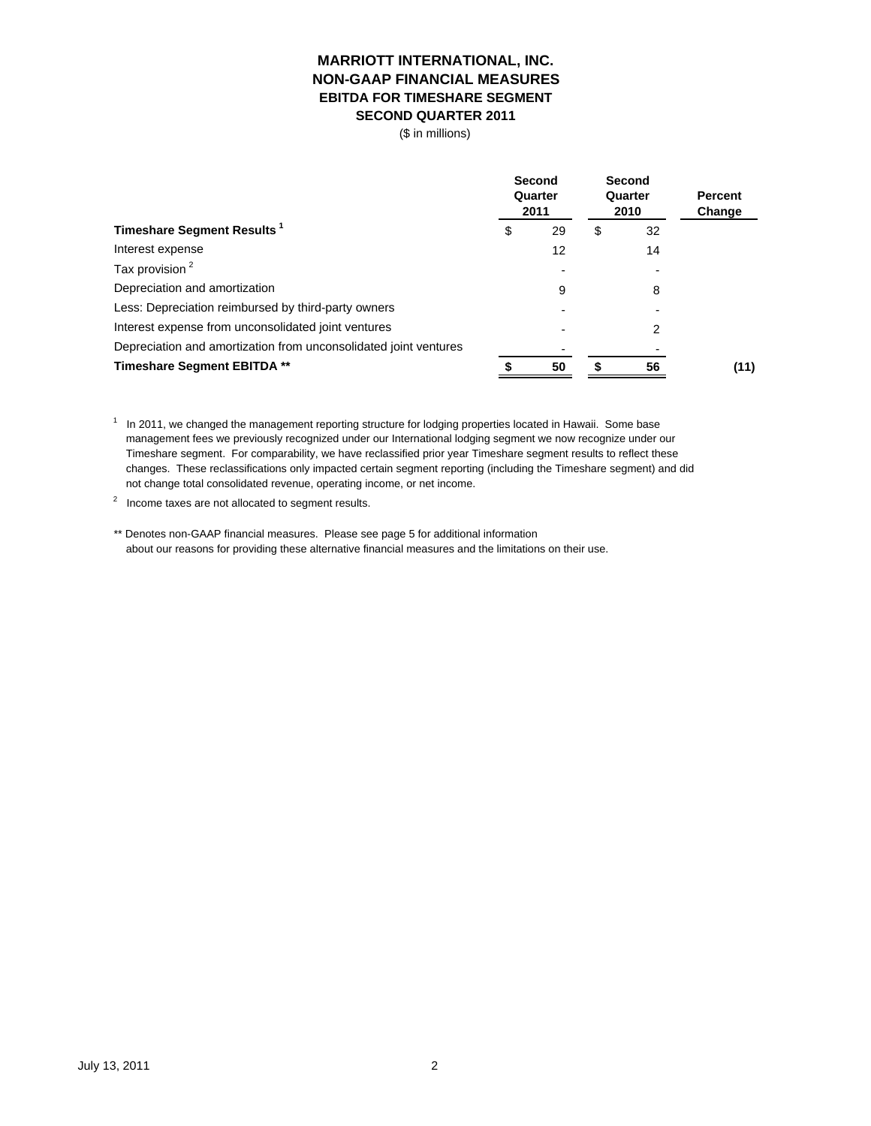### **EBITDA FOR TIMESHARE SEGMENT SECOND QUARTER 2011 MARRIOTT INTERNATIONAL, INC. NON-GAAP FINANCIAL MEASURES**

(\$ in millions)

|                                                                  |    | Second<br>Quarter<br>2011 | Second<br>Quarter<br>2010 |    | <b>Percent</b><br>Change |  |
|------------------------------------------------------------------|----|---------------------------|---------------------------|----|--------------------------|--|
| Timeshare Segment Results <sup>1</sup>                           | \$ | 29                        | \$                        | 32 |                          |  |
| Interest expense                                                 |    | 12                        |                           | 14 |                          |  |
| Tax provision <sup>2</sup>                                       |    |                           |                           |    |                          |  |
| Depreciation and amortization                                    |    | 9                         |                           | 8  |                          |  |
| Less: Depreciation reimbursed by third-party owners              |    |                           |                           |    |                          |  |
| Interest expense from unconsolidated joint ventures              |    |                           |                           | 2  |                          |  |
| Depreciation and amortization from unconsolidated joint ventures |    |                           |                           |    |                          |  |
| <b>Timeshare Segment EBITDA **</b>                               |    | 50                        |                           | 56 | (11)                     |  |

<sup>1</sup> In 2011, we changed the management reporting structure for lodging properties located in Hawaii. Some base management fees we previously recognized under our International lodging segment we now recognize under our Timeshare segment. For comparability, we have reclassified prior year Timeshare segment results to reflect these changes. These reclassifications only impacted certain segment reporting (including the Timeshare segment) and did not change total consolidated revenue, operating income, or net income.

 $2$  Income taxes are not allocated to segment results.

\*\* Denotes non-GAAP financial measures. Please see page 5 for additional information about our reasons for providing these alternative financial measures and the limitations on their use.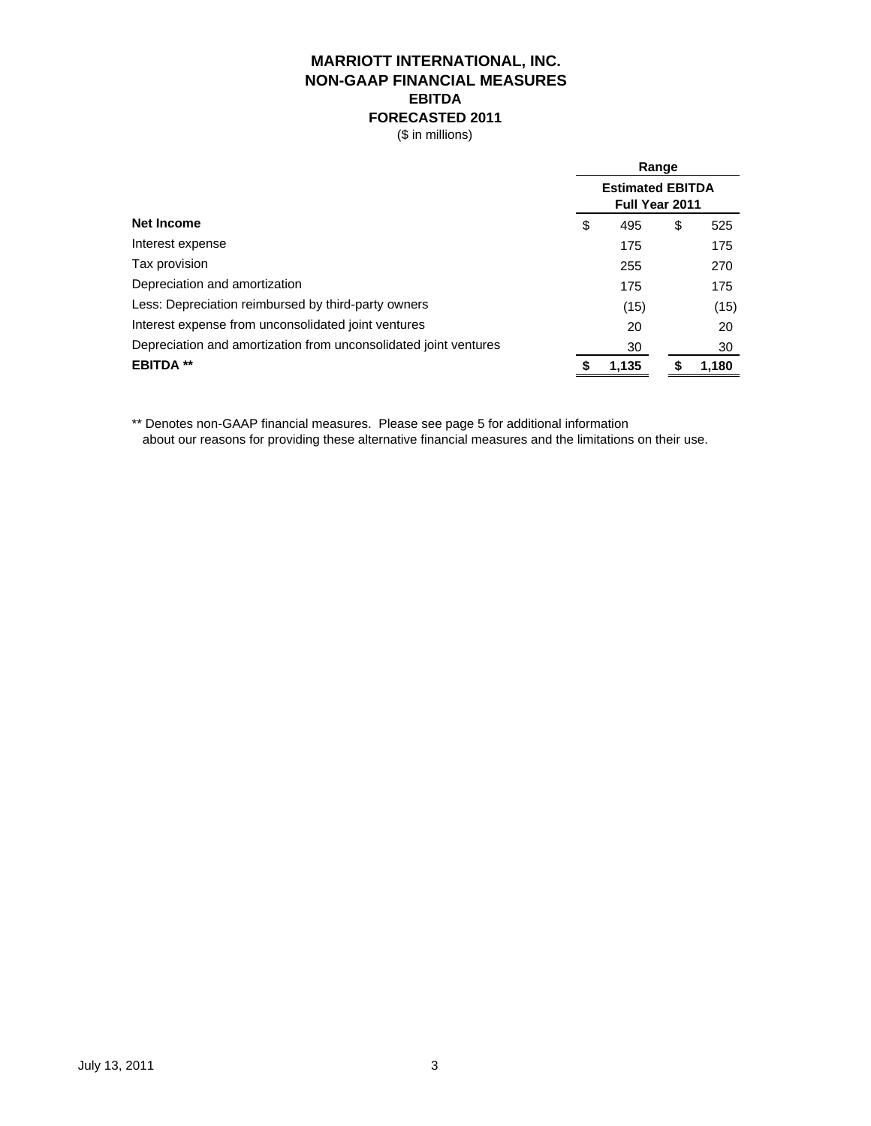# **MARRIOTT INTERNATIONAL, INC. EBITDA FORECASTED 2011 NON-GAAP FINANCIAL MEASURES**

(\$ in millions)

|                                                                  | Range |                                           |    |       |  |  |  |
|------------------------------------------------------------------|-------|-------------------------------------------|----|-------|--|--|--|
|                                                                  |       | <b>Estimated EBITDA</b><br>Full Year 2011 |    |       |  |  |  |
| <b>Net Income</b>                                                | \$    | 495                                       | \$ | 525   |  |  |  |
| Interest expense                                                 |       | 175                                       |    | 175   |  |  |  |
| Tax provision                                                    |       | 255                                       |    | 270   |  |  |  |
| Depreciation and amortization                                    |       | 175                                       |    | 175   |  |  |  |
| Less: Depreciation reimbursed by third-party owners              |       | (15)                                      |    | (15)  |  |  |  |
| Interest expense from unconsolidated joint ventures              |       | 20                                        |    | 20    |  |  |  |
| Depreciation and amortization from unconsolidated joint ventures |       | 30                                        |    | 30    |  |  |  |
| <b>EBITDA **</b>                                                 |       | 1.135                                     |    | 1,180 |  |  |  |
|                                                                  |       |                                           |    |       |  |  |  |

\*\* Denotes non-GAAP financial measures. Please see page 5 for additional information

about our reasons for providing these alternative financial measures and the limitations on their use.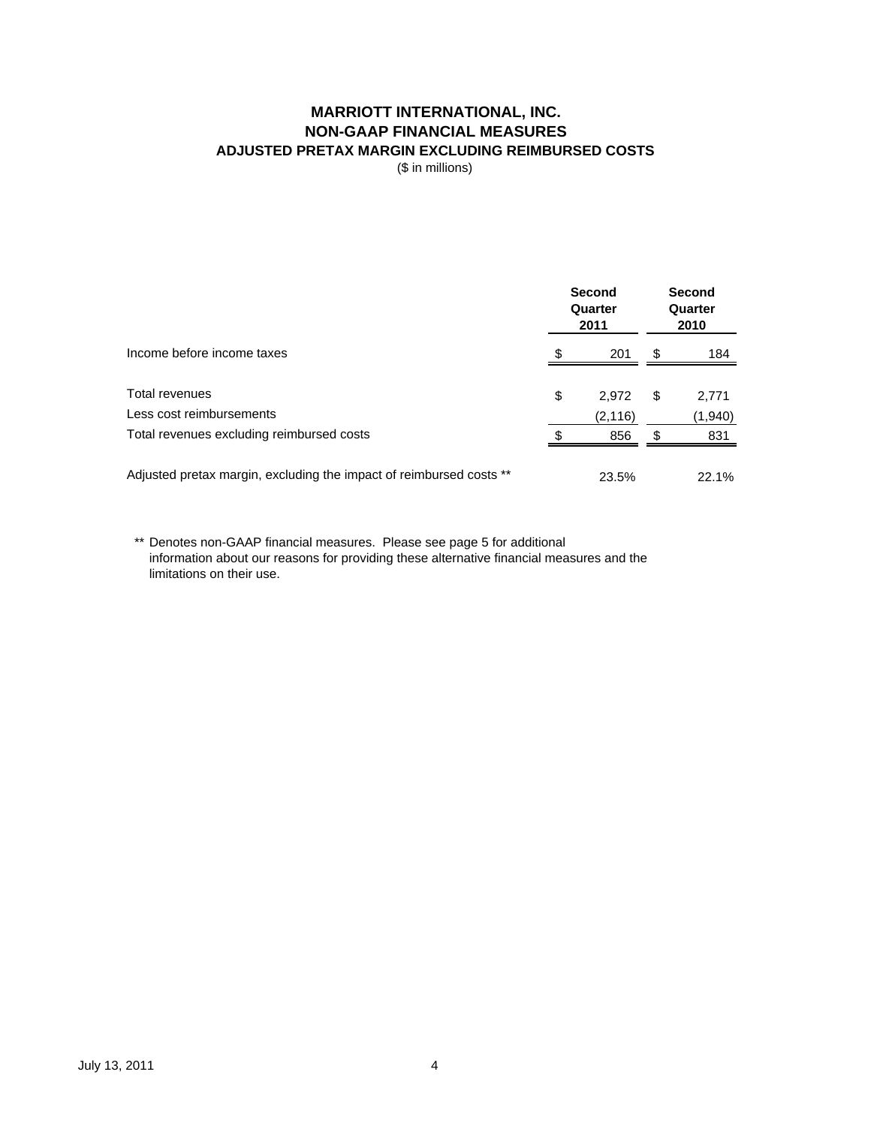## **MARRIOTT INTERNATIONAL, INC. NON-GAAP FINANCIAL MEASURES ADJUSTED PRETAX MARGIN EXCLUDING REIMBURSED COSTS**

(\$ in millions)

|                                                                     |    | <b>Second</b><br>Quarter<br>2011 | <b>Second</b><br>Quarter<br>2010 |         |  |
|---------------------------------------------------------------------|----|----------------------------------|----------------------------------|---------|--|
| Income before income taxes                                          |    | 201                              | S                                | 184     |  |
| Total revenues                                                      | \$ | 2.972                            | \$                               | 2,771   |  |
| Less cost reimbursements                                            |    | (2, 116)                         |                                  | (1,940) |  |
| Total revenues excluding reimbursed costs                           |    | 856                              | S                                | 831     |  |
| Adjusted pretax margin, excluding the impact of reimbursed costs ** |    | 23.5%                            |                                  | 22.1%   |  |

\*\* Denotes non-GAAP financial measures. Please see page 5 for additional information about our reasons for providing these alternative financial measures and the limitations on their use.